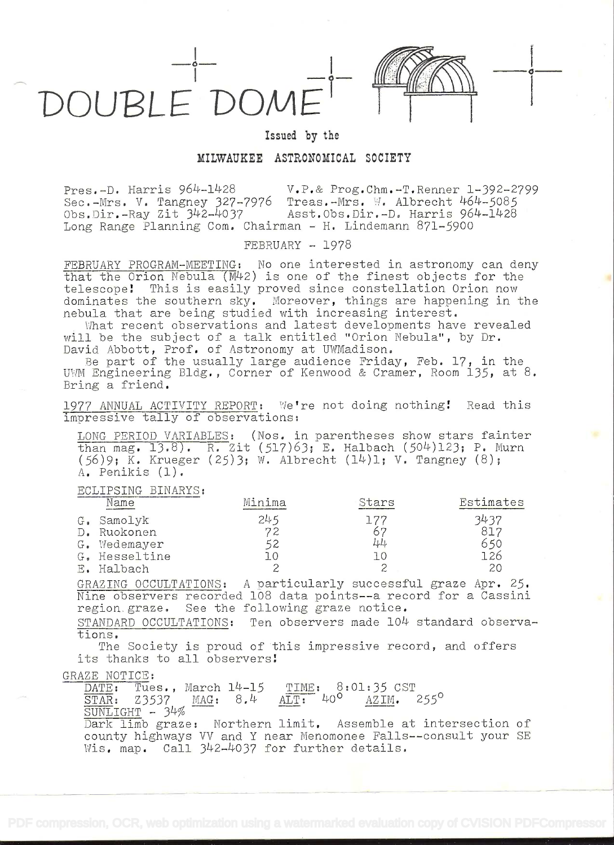



## Issued by the

## MILWAUKEE ASTRONOMICAL SOCIETY

Pres.-D. Harris 964-1428 V.P.& Prog.Chm.-T.Renner 1-392-2799 Sec.-Mrs. V. Tangney 327-7976 Treas.-Mrs. W. Albrecht 464-5085 Obs.Dir.-Ray Zit 342-4037 Asst.Obs.Dir.-D. Harris 964-1428 Long Range Planning Com. Chairman - H. Lindemann 871-5900

 $FEBRUARY - 1978$ 

FEBRUARY PROGRAM-MEETING: No one interested in astronomy can deny that the Orion Nebula (M42) is one of the Íinest objects for the telescope! This is easily proved since constellation Orion now dominates the southern sky. Moreover, things are happening in the nebula that are being studied with increasing interest.

What recent observations and latest developments have revealed will be the subject of a talk entitled "Orion Nebula", by Dr. David Abbott, Prof. of Astronomy at UWMadison.

Be part of the usually large audience Friday, Feb.  $17$ , in the UWM Engineering Bldg., Corner of Kenwood & Cramer, Room 135, at 8. Bring a friend.

1977 ANNUAL ACTIVITY REPORT: We're not doing nothing! Read this impressive tally of observations:

LONG- PERIOD VARIABLES: (Nos. in parentheses show stars fainter  $\frac{1}{2}$  mag. 13.8). R. Zit (517)63; E. Halbach (504)123; P. Murn (56)9; K. Krueger (25)3; W. Albrecht (14)1; V. Tangney (8); A, Penikis (1).

## ECLIPSING BINARYS:

|               | Name          | Minima   | Stars | Estimates |  |
|---------------|---------------|----------|-------|-----------|--|
|               | G. Samolyk    | 245      |       | 3437      |  |
| $D_{\bullet}$ | Ruokonen      | 72       |       | 817       |  |
|               | G. Wedemayer  | 52       | 44    | 650       |  |
|               | G. Hesseltine | $\Omega$ |       | L26       |  |
|               | E. Halbach    |          | ٮ     | 20        |  |

GRAZING OCCULTATIONS: A particularly successful graze Apr. 25. Nine observers recorded 108 data points--a record for a Cassini region.graze. See the following graze notice.

STANDARD OCCULTATIONS: Ten observers made 104 standard observations.

The Society is proud of this impressive record, and offers its thanks to all observers!

GRAZE NOTICE:<br>DATE: Tue

**DATE: Tues., March 14-15 TIME: 8:01:35 CST<br>STAR: 23537 MAG: 8.4 ALT: 40° AZIM. 255°** Z3537 MAG: 8.4

SUNLIGHT - 34%

Dark limb graze: Northern limit. Assemble at intersection of county highways VV and Y near Menomonee Falls--consult your SE Wis. map. Call 342-4037 for further details.